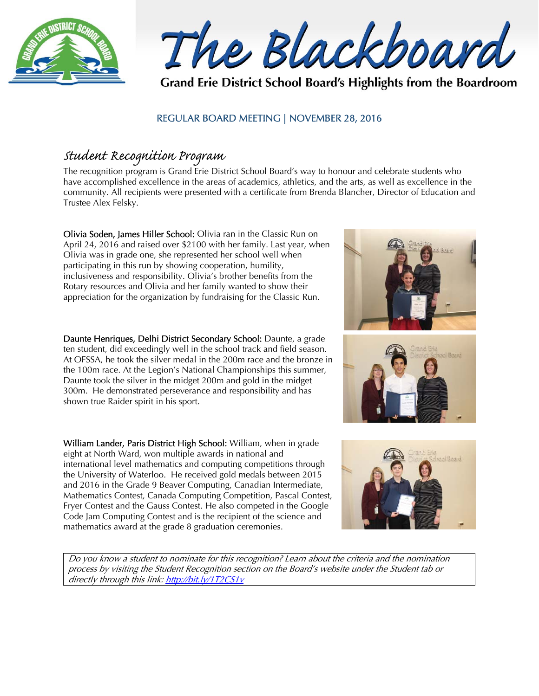



Grand Erie District School Board's Highlights from the Boardroom

### REGULAR BOARD MEETING | NOVEMBER 28, 2016

## Student Recognition Program

The recognition program is Grand Erie District School Board's way to honour and celebrate students who have accomplished excellence in the areas of academics, athletics, and the arts, as well as excellence in the community. All recipients were presented with a certificate from Brenda Blancher, Director of Education and Trustee Alex Felsky.

Olivia Soden, James Hiller School: Olivia ran in the Classic Run on April 24, 2016 and raised over \$2100 with her family. Last year, when Olivia was in grade one, she represented her school well when participating in this run by showing cooperation, humility, inclusiveness and responsibility. Olivia's brother benefits from the Rotary resources and Olivia and her family wanted to show their appreciation for the organization by fundraising for the Classic Run.

Daunte Henriques, Delhi District Secondary School: Daunte, a grade ten student, did exceedingly well in the school track and field season. At OFSSA, he took the silver medal in the 200m race and the bronze in the 100m race. At the Legion's National Championships this summer, Daunte took the silver in the midget 200m and gold in the midget 300m. He demonstrated perseverance and responsibility and has shown true Raider spirit in his sport.

William Lander, Paris District High School: William, when in grade eight at North Ward, won multiple awards in national and international level mathematics and computing competitions through the University of Waterloo. He received gold medals between 2015 and 2016 in the Grade 9 Beaver Computing, Canadian Intermediate, Mathematics Contest, Canada Computing Competition, Pascal Contest, Fryer Contest and the Gauss Contest. He also competed in the Google Code Jam Computing Contest and is the recipient of the science and mathematics award at the grade 8 graduation ceremonies.



Do you know a student to nominate for this recognition? Learn about the criteria and the nomination process by visiting the Student Recognition section on the Board's website under the Student tab or directly through this link: http://bit.ly/1T2CS1v



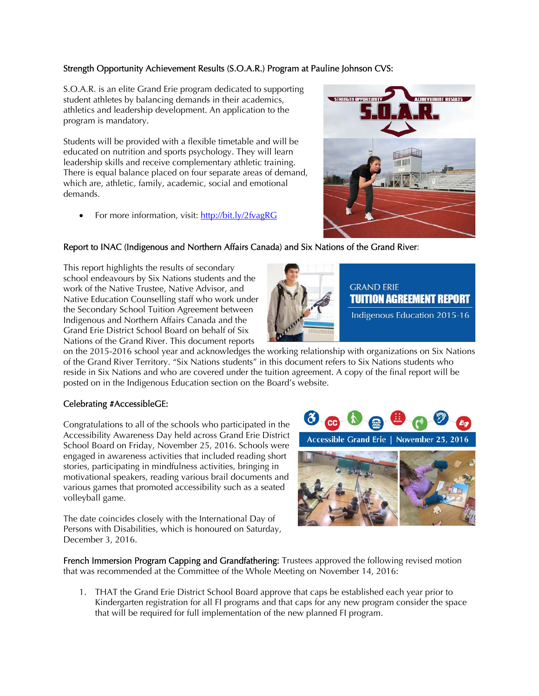#### Strength Opportunity Achievement Results (S.O.A.R.) Program at Pauline Johnson CVS:

S.O.A.R. is an elite Grand Erie program dedicated to supporting student athletes by balancing demands in their academics, athletics and leadership development. An application to the program is mandatory.

Students will be provided with a flexible timetable and will be educated on nutrition and sports psychology. They will learn leadership skills and receive complementary athletic training. There is equal balance placed on four separate areas of demand, which are, athletic, family, academic, social and emotional demands.

For more information, visit: http://bit.ly/2fvagRG



#### Report to INAC (Indigenous and Northern Affairs Canada) and Six Nations of the Grand River:

This report highlights the results of secondary school endeavours by Six Nations students and the work of the Native Trustee, Native Advisor, and Native Education Counselling staff who work under the Secondary School Tuition Agreement between Indigenous and Northern Affairs Canada and the Grand Erie District School Board on behalf of Six Nations of the Grand River. This document reports



#### Celebrating #AccessibleGE:

Congratulations to all of the schools who participated in the Accessibility Awareness Day held across Grand Erie District School Board on Friday, November 25, 2016. Schools were engaged in awareness activities that included reading short stories, participating in mindfulness activities, bringing in motivational speakers, reading various brail documents and various games that promoted accessibility such as a seated volleyball game.

The date coincides closely with the International Day of Persons with Disabilities, which is honoured on Saturday, December 3, 2016.



**GRAND ERIE** 

TUITION AGREEMENT REPORT Indigenous Education 2015-16

Accessible Grand Erie | November 25, 2016



French Immersion Program Capping and Grandfathering: Trustees approved the following revised motion that was recommended at the Committee of the Whole Meeting on November 14, 2016:

1. THAT the Grand Erie District School Board approve that caps be established each year prior to Kindergarten registration for all FI programs and that caps for any new program consider the space that will be required for full implementation of the new planned FI program.